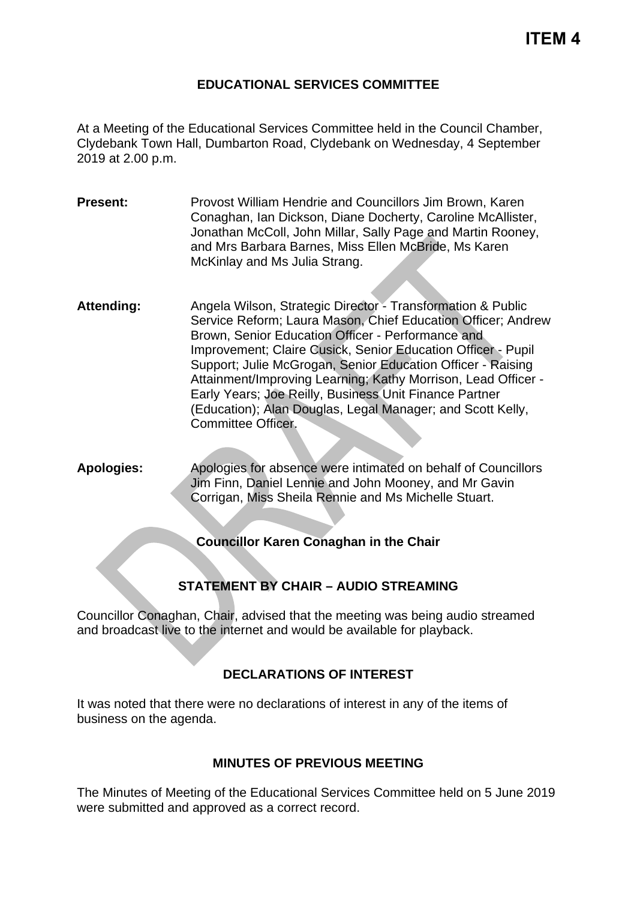### **EDUCATIONAL SERVICES COMMITTEE**

At a Meeting of the Educational Services Committee held in the Council Chamber, Clydebank Town Hall, Dumbarton Road, Clydebank on Wednesday, 4 September 2019 at 2.00 p.m.

- **Present:** Provost William Hendrie and Councillors Jim Brown, Karen Conaghan, Ian Dickson, Diane Docherty, Caroline McAllister, Jonathan McColl, John Millar, Sally Page and Martin Rooney, and Mrs Barbara Barnes, Miss Ellen McBride, Ms Karen McKinlay and Ms Julia Strang.
- Attending: Angela Wilson, Strategic Director Transformation & Public Service Reform; Laura Mason, Chief Education Officer; Andrew Brown, Senior Education Officer - Performance and Improvement; Claire Cusick, Senior Education Officer - Pupil Support; Julie McGrogan, Senior Education Officer - Raising Attainment/Improving Learning; Kathy Morrison, Lead Officer - Early Years; Joe Reilly, Business Unit Finance Partner (Education); Alan Douglas, Legal Manager; and Scott Kelly, Committee Officer.
- **Apologies:** Apologies for absence were intimated on behalf of Councillors Jim Finn, Daniel Lennie and John Mooney, and Mr Gavin Corrigan, Miss Sheila Rennie and Ms Michelle Stuart.

#### **Councillor Karen Conaghan in the Chair**

# **STATEMENT BY CHAIR – AUDIO STREAMING**

Councillor Conaghan, Chair, advised that the meeting was being audio streamed and broadcast live to the internet and would be available for playback.

# **DECLARATIONS OF INTEREST**

It was noted that there were no declarations of interest in any of the items of business on the agenda.

### **MINUTES OF PREVIOUS MEETING**

The Minutes of Meeting of the Educational Services Committee held on 5 June 2019 were submitted and approved as a correct record.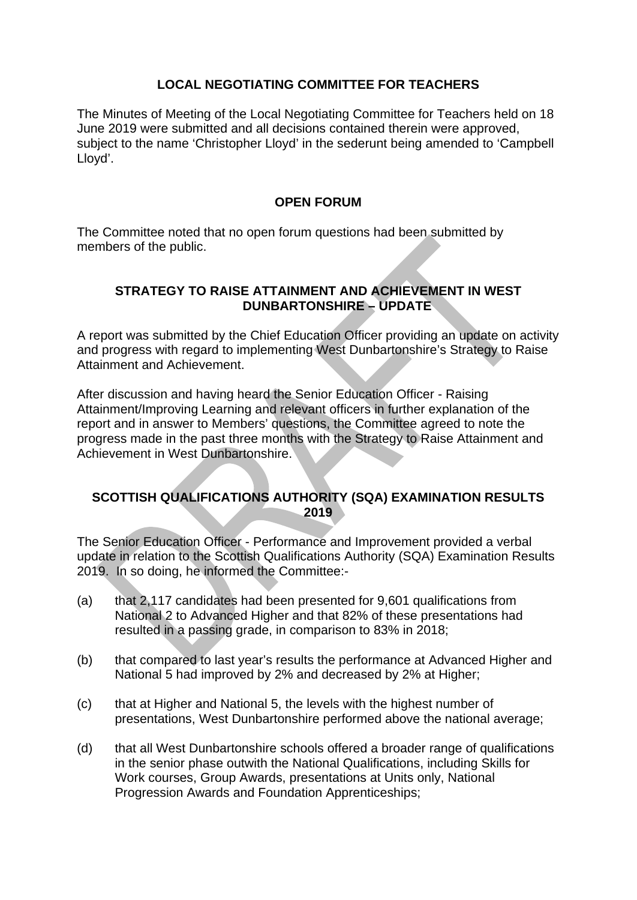# **LOCAL NEGOTIATING COMMITTEE FOR TEACHERS**

The Minutes of Meeting of the Local Negotiating Committee for Teachers held on 18 June 2019 were submitted and all decisions contained therein were approved, subject to the name 'Christopher Lloyd' in the sederunt being amended to 'Campbell Lloyd'.

### **OPEN FORUM**

The Committee noted that no open forum questions had been submitted by members of the public.

### **STRATEGY TO RAISE ATTAINMENT AND ACHIEVEMENT IN WEST DUNBARTONSHIRE – UPDATE**

A report was submitted by the Chief Education Officer providing an update on activity and progress with regard to implementing West Dunbartonshire's Strategy to Raise Attainment and Achievement.

After discussion and having heard the Senior Education Officer - Raising Attainment/Improving Learning and relevant officers in further explanation of the report and in answer to Members' questions, the Committee agreed to note the progress made in the past three months with the Strategy to Raise Attainment and Achievement in West Dunbartonshire.

### **SCOTTISH QUALIFICATIONS AUTHORITY (SQA) EXAMINATION RESULTS 2019**

The Senior Education Officer - Performance and Improvement provided a verbal update in relation to the Scottish Qualifications Authority (SQA) Examination Results 2019. In so doing, he informed the Committee:-

- (a) that 2,117 candidates had been presented for 9,601 qualifications from National 2 to Advanced Higher and that 82% of these presentations had resulted in a passing grade, in comparison to 83% in 2018;
- (b) that compared to last year's results the performance at Advanced Higher and National 5 had improved by 2% and decreased by 2% at Higher;
- (c) that at Higher and National 5, the levels with the highest number of presentations, West Dunbartonshire performed above the national average;
- (d) that all West Dunbartonshire schools offered a broader range of qualifications in the senior phase outwith the National Qualifications, including Skills for Work courses, Group Awards, presentations at Units only, National Progression Awards and Foundation Apprenticeships;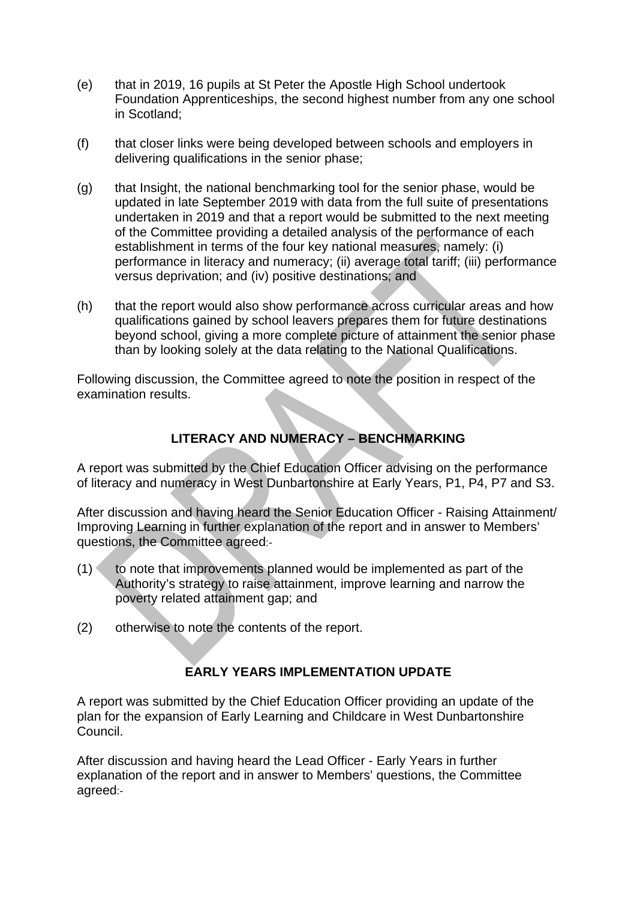- (e) that in 2019, 16 pupils at St Peter the Apostle High School undertook Foundation Apprenticeships, the second highest number from any one school in Scotland;
- (f) that closer links were being developed between schools and employers in delivering qualifications in the senior phase;
- (g) that Insight, the national benchmarking tool for the senior phase, would be updated in late September 2019 with data from the full suite of presentations undertaken in 2019 and that a report would be submitted to the next meeting of the Committee providing a detailed analysis of the performance of each establishment in terms of the four key national measures, namely: (i) performance in literacy and numeracy; (ii) average total tariff; (iii) performance versus deprivation; and (iv) positive destinations; and
- (h) that the report would also show performance across curricular areas and how qualifications gained by school leavers prepares them for future destinations beyond school, giving a more complete picture of attainment the senior phase than by looking solely at the data relating to the National Qualifications.

Following discussion, the Committee agreed to note the position in respect of the examination results.

# **LITERACY AND NUMERACY – BENCHMARKING**

A report was submitted by the Chief Education Officer advising on the performance of literacy and numeracy in West Dunbartonshire at Early Years, P1, P4, P7 and S3.

After discussion and having heard the Senior Education Officer - Raising Attainment/ Improving Learning in further explanation of the report and in answer to Members' questions, the Committee agreed:-

- $(1)$  to note that improvements planned would be implemented as part of the Authority's strategy to raise attainment, improve learning and narrow the poverty related attainment gap; and
- (2) otherwise to note the contents of the report.

# **EARLY YEARS IMPLEMENTATION UPDATE**

A report was submitted by the Chief Education Officer providing an update of the plan for the expansion of Early Learning and Childcare in West Dunbartonshire Council.

After discussion and having heard the Lead Officer - Early Years in further explanation of the report and in answer to Members' questions, the Committee agreed:-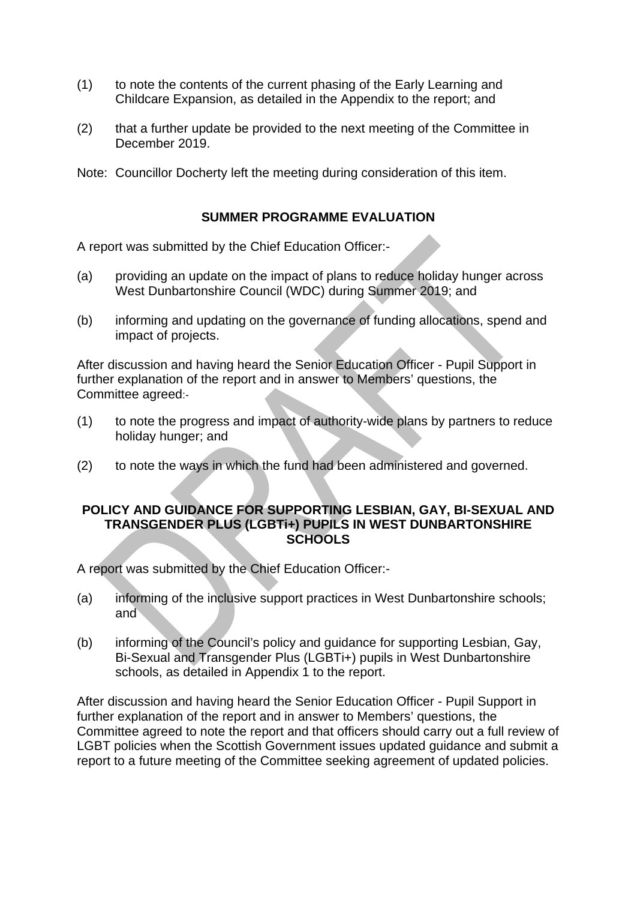- (1) to note the contents of the current phasing of the Early Learning and Childcare Expansion, as detailed in the Appendix to the report; and
- (2) that a further update be provided to the next meeting of the Committee in December 2019.

Note: Councillor Docherty left the meeting during consideration of this item.

### **SUMMER PROGRAMME EVALUATION**

A report was submitted by the Chief Education Officer:-

- (a) providing an update on the impact of plans to reduce holiday hunger across West Dunbartonshire Council (WDC) during Summer 2019; and
- (b) informing and updating on the governance of funding allocations, spend and impact of projects.

After discussion and having heard the Senior Education Officer - Pupil Support in further explanation of the report and in answer to Members' questions, the Committee agreed:-

- (1) to note the progress and impact of authority-wide plans by partners to reduce holiday hunger; and
- (2) to note the ways in which the fund had been administered and governed.

#### **POLICY AND GUIDANCE FOR SUPPORTING LESBIAN, GAY, BI-SEXUAL AND TRANSGENDER PLUS (LGBTi+) PUPILS IN WEST DUNBARTONSHIRE SCHOOLS**

A report was submitted by the Chief Education Officer:-

- (a) informing of the inclusive support practices in West Dunbartonshire schools; and
- (b) informing of the Council's policy and guidance for supporting Lesbian, Gay, Bi-Sexual and Transgender Plus (LGBTi+) pupils in West Dunbartonshire schools, as detailed in Appendix 1 to the report.

After discussion and having heard the Senior Education Officer - Pupil Support in further explanation of the report and in answer to Members' questions, the Committee agreed to note the report and that officers should carry out a full review of LGBT policies when the Scottish Government issues updated guidance and submit a report to a future meeting of the Committee seeking agreement of updated policies.